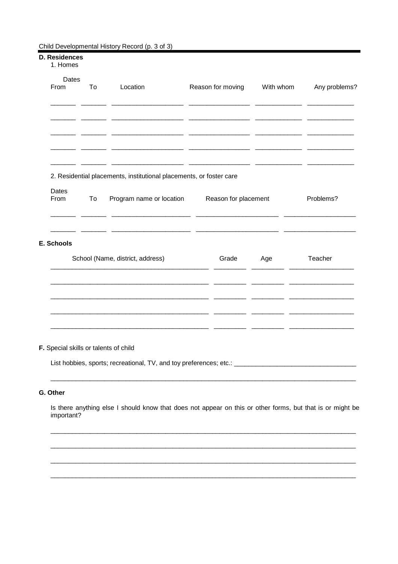#### Child Developmental History Record (p. 3 of 3)

#### D. Residences 1. Homes Dates Location From To Reason for moving With whom Any problems?  $\overline{a}$  $\overline{a}$  $\overline{\phantom{a}}$  $\overline{a}$   $\overline{a}$  $\overline{a}$   $\overline{a}$  $\overline{a}$   $\overline{a}$  $\overline{a}$  $\overline{a}$  $\overline{a}$   $\overline{a}$  $\overline{a}$   $\overline{a}$  $\overline{a}$   $\overline{a}$  $\overline{a}$   $\overline{a}$  $\overline{a}$   $\overline{a}$  $\overline{a}$  $\overline{a}$  $\overline{a}$  $\sim$  $\overline{a}$ 202  $\overline{a}$ 2. Residential placements, institutional placements, or foster care **Dates** From To Program name or location Reason for placement Problems?  $\overline{\phantom{a}}$  $\sim$  $\sim$  $\overline{a}$  $\overline{\phantom{a}}$  $\overline{\phantom{a}}$  $\overline{\phantom{a}}$  $\overline{\phantom{a}}$ E. Schools School (Name, district, address) Grade Age Teacher  $\overline{\phantom{a}}$  $\overline{\phantom{a}}$  $\overline{\phantom{a}}$  $\overline{\phantom{a}}$ <u>and</u> and — —  $\sim$ <u>. .</u>  $-$

### F. Special skills or talents of child

List hobbies, sports; recreational, TV, and toy preferences; etc.:

## G. Other

Is there anything else I should know that does not appear on this or other forms, but that is or might be important?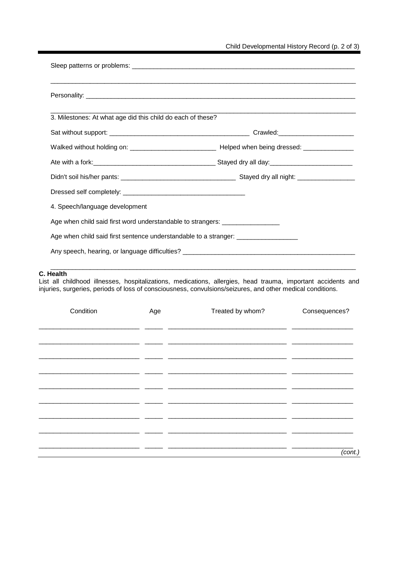| 3. Milestones: At what age did this child do each of these?                       |  |  |  |  |
|-----------------------------------------------------------------------------------|--|--|--|--|
|                                                                                   |  |  |  |  |
|                                                                                   |  |  |  |  |
|                                                                                   |  |  |  |  |
|                                                                                   |  |  |  |  |
|                                                                                   |  |  |  |  |
| 4. Speech/language development                                                    |  |  |  |  |
| Age when child said first word understandable to strangers: ____________________  |  |  |  |  |
| Age when child said first sentence understandable to a stranger: _______________  |  |  |  |  |
| Any speech, hearing, or language difficulties? __________________________________ |  |  |  |  |
|                                                                                   |  |  |  |  |

# **C. Health**

List all childhood illnesses, hospitalizations, medications, allergies, head trauma, important accidents and injuries, surgeries, periods of loss of consciousness, convulsions/seizures, and other medical conditions.

| Condition | Age                                | Treated by whom? | Consequences? |
|-----------|------------------------------------|------------------|---------------|
|           |                                    |                  |               |
|           | $\sim$                             |                  |               |
|           |                                    |                  |               |
|           | $\overline{\phantom{0}}$<br>$\sim$ |                  |               |
|           |                                    |                  |               |
|           |                                    |                  |               |
|           |                                    |                  |               |
|           |                                    |                  |               |
|           |                                    |                  |               |
|           | $\sim$                             |                  |               |
|           |                                    |                  | (cont.)       |